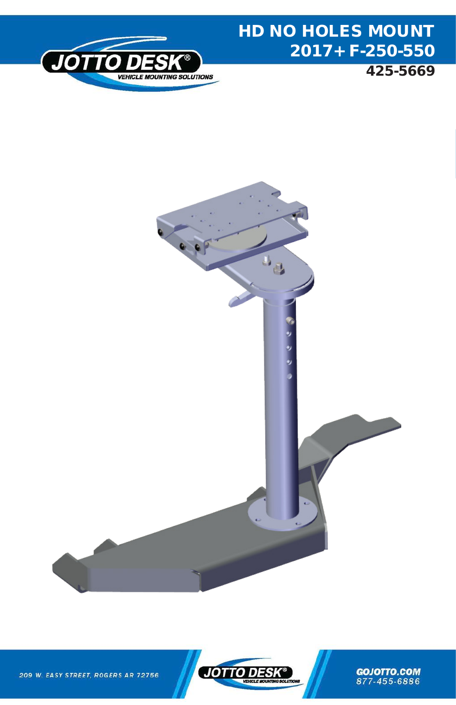

## HD NO HOLES MOUNT 2017+ F-250-550

425-5669





**GOJOTTO.COM** 877-455-6886

209 W. EASY STREET, ROGERS AR 72756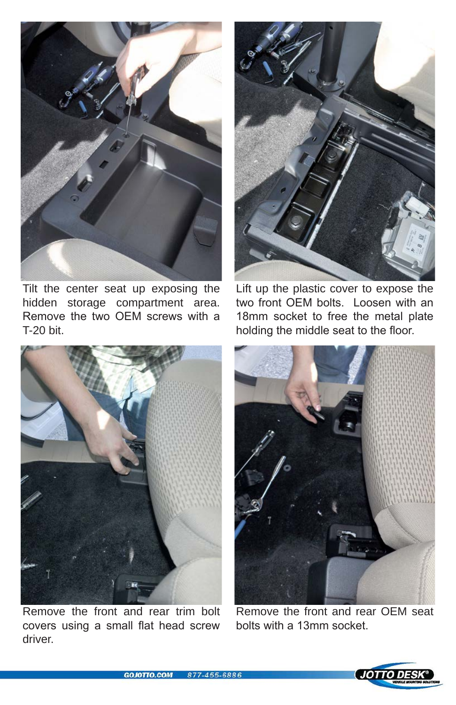

Tilt the center seat up exposing the hidden storage compartment area. Remove the two OEM screws with a T-20 bit.



Lift up the plastic cover to expose the two front OEM bolts. Loosen with an 18mm socket to free the metal plate holding the middle seat to the floor.



Remove the front and rear trim bolt covers using a small flat head screw driver.



Remove the front and rear OEM seat bolts with a 13mm socket.

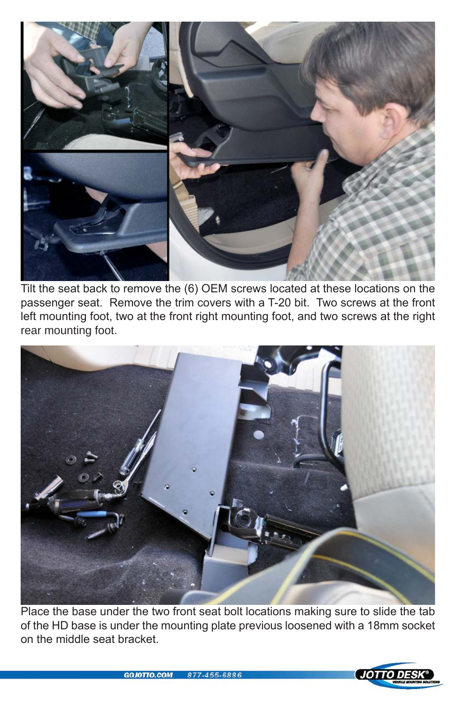

Tilt the seat back to remove the (6) OEM screws located at these locations on the passenger seat. Remove the trim covers with a T-20 bit. Two screws at the front left mounting foot, two at the front right mounting foot, and two screws at the right rear mounting foot.



Place the base under the two front seat bolt locations making sure to slide the tab of the HD base is under the mounting plate previous loosened with a 18mm socket on the middle seat bracket.

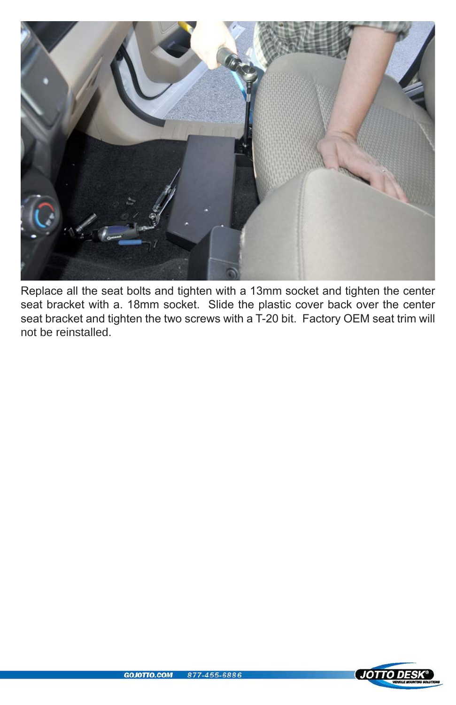

Replace all the seat bolts and tighten with a 13mm socket and tighten the center seat bracket with a. 18mm socket. Slide the plastic cover back over the center seat bracket and tighten the two screws with a T-20 bit. Factory OEM seat trim will not be reinstalled.

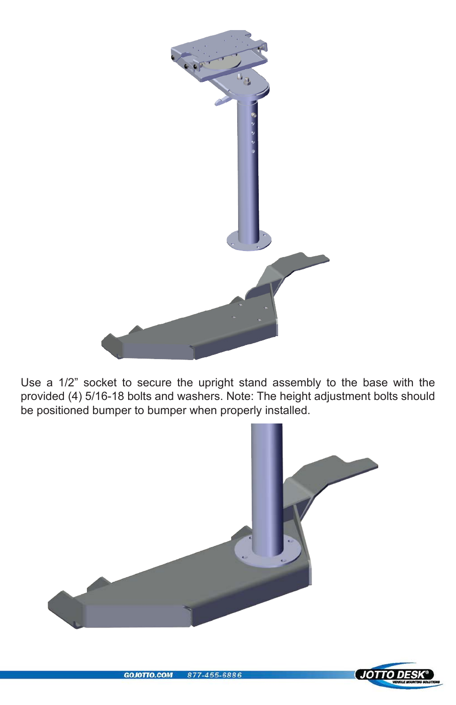

Use a 1/2" socket to secure the upright stand assembly to the base with the provided (4) 5/16-18 bolts and washers. Note: The height adjustment bolts should be positioned bumper to bumper when properly installed.



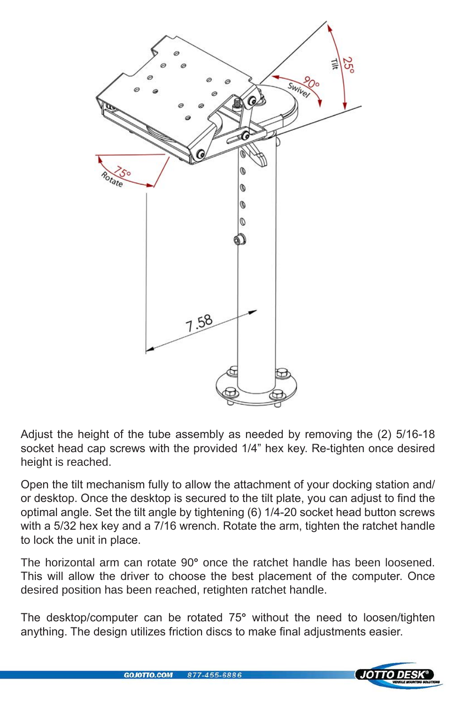

Adjust the height of the tube assembly as needed by removing the (2) 5/16-18 socket head cap screws with the provided 1/4" hex key. Re-tighten once desired height is reached.

Open the tilt mechanism fully to allow the attachment of your docking station and/ or desktop. Once the desktop is secured to the tilt plate, you can adjust to find the optimal angle. Set the tilt angle by tightening (6) 1/4-20 socket head button screws with a 5/32 hex key and a 7/16 wrench. Rotate the arm, tighten the ratchet handle to lock the unit in place.

The horizontal arm can rotate 90**°** once the ratchet handle has been loosened. This will allow the driver to choose the best placement of the computer. Once desired position has been reached, retighten ratchet handle.

The desktop/computer can be rotated 75**°** without the need to loosen/tighten anything. The design utilizes friction discs to make final adjustments easier.

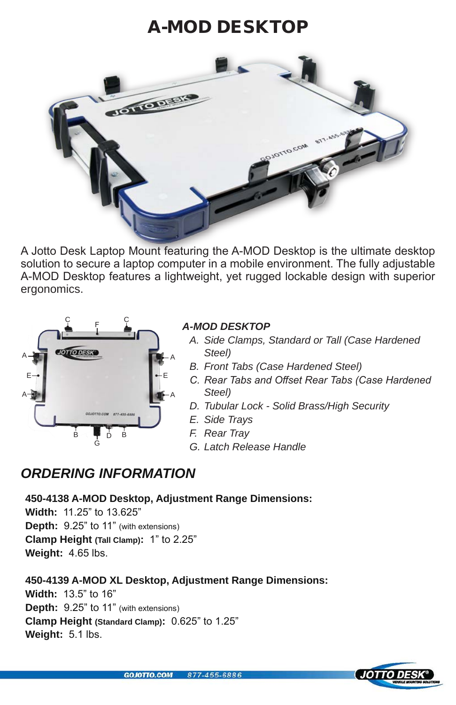### A-MOD DESKTOP



A Jotto Desk Laptop Mount featuring the A-MOD Desktop is the ultimate desktop solution to secure a laptop computer in a mobile environment. The fully adjustable A-MOD Desktop features a lightweight, yet rugged lockable design with superior ergonomics.



#### *A-MOD DESKTOP*

- *A. Side Clamps, Standard or Tall (Case Hardened Steel)*
- *B. Front Tabs (Case Hardened Steel)*
- *C. Rear Tabs and Offset Rear Tabs (Case Hardened Steel)*
- *D. Tubular Lock Solid Brass/High Security*
- *E. Side Trays*
- *F. Rear Tray*
- *G. Latch Release Handle*

### *ORDERING INFORMATION*

**450-4138 A-MOD Desktop, Adjustment Range Dimensions:**

**Width:** 11.25" to 13.625" **Depth:** 9.25" to 11" (with extensions) **Clamp Height (Tall Clamp):** 1" to 2.25" **Weight:** 4.65 lbs.

**450-4139 A-MOD XL Desktop, Adjustment Range Dimensions:**

**Width:** 13.5" to 16" **Depth:** 9.25" to 11" (with extensions) **Clamp Height (Standard Clamp):** 0.625" to 1.25" **Weight:** 5.1 lbs.